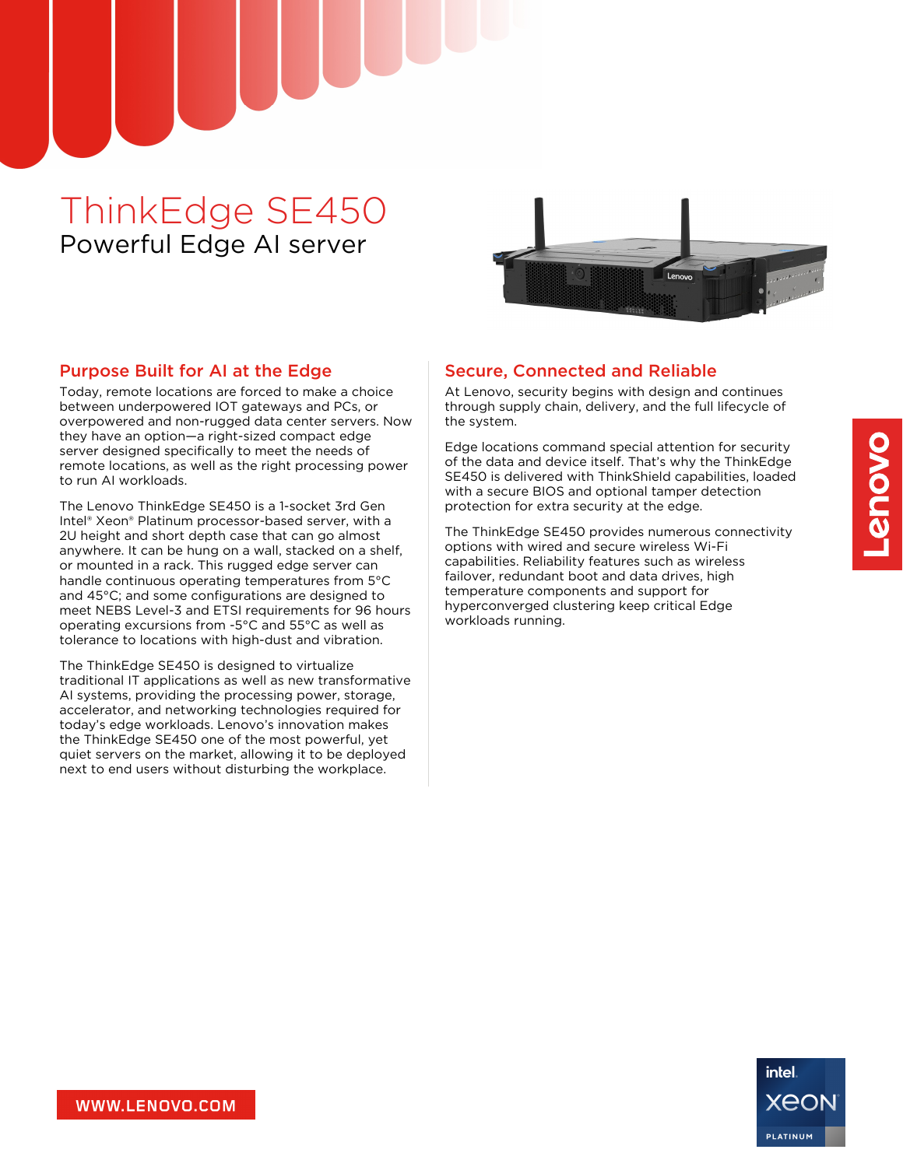# ThinkEdge SE450 Powerful Edge AI server



#### Purpose Built for AI at the Edge

Today, remote locations are forced to make a choice between underpowered IOT gateways and PCs, or overpowered and non-rugged data center servers. Now they have an option—a right-sized compact edge server designed specifically to meet the needs of remote locations, as well as the right processing power to run AI workloads.

The Lenovo ThinkEdge SE450 is a 1-socket 3rd Gen Intel® Xeon® Platinum processor-based server, with a 2U height and short depth case that can go almost anywhere. It can be hung on a wall, stacked on a shelf, or mounted in a rack. This rugged edge server can handle continuous operating temperatures from 5°C and 45°C; and some configurations are designed to meet NEBS Level-3 and ETSI requirements for 96 hours operating excursions from -5°C and 55°C as well as tolerance to locations with high-dust and vibration.

The ThinkEdge SE450 is designed to virtualize traditional IT applications as well as new transformative AI systems, providing the processing power, storage, accelerator, and networking technologies required for today's edge workloads. Lenovo's innovation makes the ThinkEdge SE450 one of the most powerful, yet quiet servers on the market, allowing it to be deployed next to end users without disturbing the workplace.

#### Secure, Connected and Reliable

At Lenovo, security begins with design and continues through supply chain, delivery, and the full lifecycle of the system.

Edge locations command special attention for security of the data and device itself. That's why the ThinkEdge SE450 is delivered with ThinkShield capabilities, loaded with a secure BIOS and optional tamper detection protection for extra security at the edge.

The ThinkEdge SE450 provides numerous connectivity options with wired and secure wireless Wi-Fi capabilities. Reliability features such as wireless failover, redundant boot and data drives, high temperature components and support for hyperconverged clustering keep critical Edge workloads running.